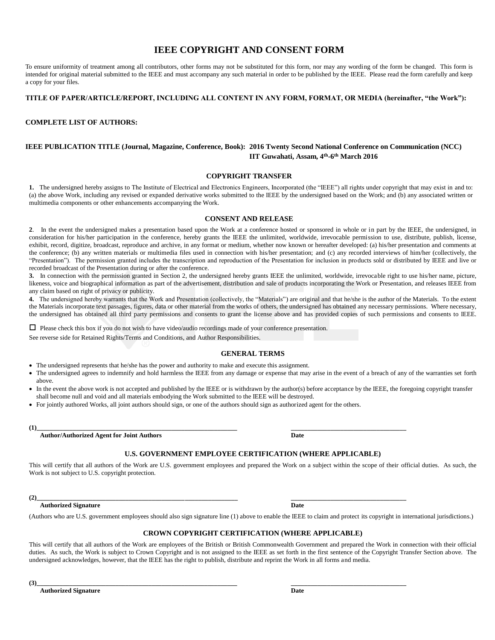# **IEEE COPYRIGHT AND CONSENT FORM**

To ensure uniformity of treatment among all contributors, other forms may not be substituted for this form, nor may any wording of the form be changed. This form is intended for original material submitted to the IEEE and must accompany any such material in order to be published by the IEEE. Please read the form carefully and keep a copy for your files.

### **TITLE OF PAPER/ARTICLE/REPORT, INCLUDING ALL CONTENT IN ANY FORM, FORMAT, OR MEDIA (hereinafter, "the Work"):**

### **COMPLETE LIST OF AUTHORS:**

### **IEEE PUBLICATION TITLE (Journal, Magazine, Conference, Book): 2016 Twenty Second National Conference on Communication (NCC) IIT Guwahati, Assam, 4th -6 th March 2016**

### **COPYRIGHT TRANSFER**

**1.** The undersigned hereby assigns to The Institute of Electrical and Electronics Engineers, Incorporated (the "IEEE") all rights under copyright that may exist in and to: (a) the above Work, including any revised or expanded derivative works submitted to the IEEE by the undersigned based on the Work; and (b) any associated written or multimedia components or other enhancements accompanying the Work.

#### **CONSENT AND RELEASE**

**2**. In the event the undersigned makes a presentation based upon the Work at a conference hosted or sponsored in whole or in part by the IEEE, the undersigned, in consideration for his/her participation in the conference, hereby grants the IEEE the unlimited, worldwide, irrevocable permission to use, distribute, publish, license, exhibit, record, digitize, broadcast, reproduce and archive, in any format or medium, whether now known or hereafter developed: (a) his/her presentation and comments at the conference; (b) any written materials or multimedia files used in connection with his/her presentation; and (c) any recorded interviews of him/her (collectively, the "Presentation"). The permission granted includes the transcription and reproduction of the Presentation for inclusion in products sold or distributed by IEEE and live or recorded broadcast of the Presentation during or after the conference.

**3.** In connection with the permission granted in Section 2, the undersigned hereby grants IEEE the unlimited, worldwide, irrevocable right to use his/her name, picture, likeness, voice and biographical information as part of the advertisement, distribution and sale of products incorporating the Work or Presentation, and releases IEEE from any claim based on right of privacy or publicity.

**4.** The undersigned hereby warrants that the Work and Presentation (collectively, the "Materials") are original and that he/she is the author of the Materials. To the extent the Materials incorporate text passages, figures, data or other material from the works of others, the undersigned has obtained any necessary permissions. Where necessary, the undersigned has obtained all third party permissions and consents to grant the license above and has provided copies of such permissions and consents to IEEE.

 $\Box$  Please check this box if you do not wish to have video/audio recordings made of your conference presentation.

See reverse side for Retained Rights/Terms and Conditions, and Author Responsibilities.

#### **GENERAL TERMS**

The undersigned represents that he/she has the power and authority to make and execute this assignment.

- The undersigned agrees to indemnify and hold harmless the IEEE from any damage or expense that may arise in the event of a breach of any of the warranties set forth above.
- In the event the above work is not accepted and published by the IEEE or is withdrawn by the author(s) before acceptance by the IEEE, the foregoing copyright transfer shall become null and void and all materials embodying the Work submitted to the IEEE will be destroyed.
- For jointly authored Works, all joint authors should sign, or one of the authors should sign as authorized agent for the others.

**(1)\_\_\_\_\_\_\_\_\_\_\_\_\_\_\_\_\_\_\_\_\_\_\_\_\_\_\_\_\_\_\_\_\_\_\_\_\_\_\_\_\_\_\_\_\_\_\_\_\_\_\_\_\_\_\_\_\_\_\_\_\_ \_\_\_\_\_\_\_\_\_\_\_\_\_\_\_\_\_\_\_\_\_\_\_\_\_\_\_\_\_\_\_\_\_\_\_**

**Author/Authorized Agent for Joint Authors Date**

## **U.S. GOVERNMENT EMPLOYEE CERTIFICATION (WHERE APPLICABLE)**

This will certify that all authors of the Work are U.S. government employees and prepared the Work on a subject within the scope of their official duties. As such, the Work is not subject to U.S. copyright protection.

**(2)\_\_\_\_\_\_\_\_\_\_\_\_\_\_\_\_\_\_\_\_\_\_\_\_\_\_\_\_\_\_\_\_\_\_\_\_\_\_\_\_\_\_\_\_\_\_\_\_\_\_\_\_\_\_\_\_\_\_\_\_\_ \_\_\_\_\_\_\_\_\_\_\_\_\_\_\_\_\_\_\_\_\_\_\_\_\_\_\_\_\_\_\_\_\_\_\_**

**Authorized Signature Date** 

(Authors who are U.S. government employees should also sign signature line (1) above to enable the IEEE to claim and protect its copyright in international jurisdictions.)

### **CROWN COPYRIGHT CERTIFICATION (WHERE APPLICABLE)**

This will certify that all authors of the Work are employees of the British or British Commonwealth Government and prepared the Work in connection with their official duties. As such, the Work is subject to Crown Copyright and is not assigned to the IEEE as set forth in the first sentence of the Copyright Transfer Section above. The undersigned acknowledges, however, that the IEEE has the right to publish, distribute and reprint the Work in all forms and media.

**(3)\_\_\_\_\_\_\_\_\_\_\_\_\_\_\_\_\_\_\_\_\_\_\_\_\_\_\_\_\_\_\_\_\_\_\_\_\_\_\_\_\_\_\_\_\_\_\_\_\_\_\_\_\_\_\_\_\_\_\_\_\_ \_\_\_\_\_\_\_\_\_\_\_\_\_\_\_\_\_\_\_\_\_\_\_\_\_\_\_\_\_\_\_\_\_\_\_**

**Authorized Signature Date**